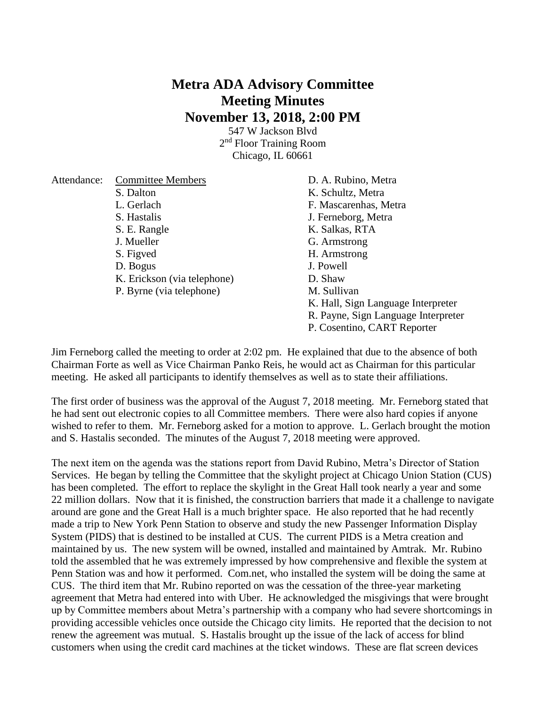## **Metra ADA Advisory Committee Meeting Minutes November 13, 2018, 2:00 PM**

547 W Jackson Blvd 2<sup>nd</sup> Floor Training Room Chicago, IL 60661

| Attendance: | <b>Committee Members</b>    | D. A. Rubino, Metra                    |
|-------------|-----------------------------|----------------------------------------|
|             | S. Dalton                   | K. Schultz, Metra                      |
|             | L. Gerlach                  | F. Mascarenhas, Metra                  |
|             | S. Hastalis                 | J. Ferneborg, Metra                    |
|             | S. E. Rangle                | K. Salkas, RTA                         |
|             | J. Mueller                  | G. Armstrong                           |
|             | S. Figved                   | H. Armstrong                           |
|             | D. Bogus                    | J. Powell                              |
|             | K. Erickson (via telephone) | D. Shaw                                |
|             | P. Byrne (via telephone)    | M. Sullivan                            |
|             |                             | K. Hall, Sign Language Interpreter     |
|             |                             | R. Payne, Sign Language Interpreter    |
|             |                             | $\mathbf{A}$ $\mathbf{A}$ $\mathbf{A}$ |

P. Cosentino, CART Reporter

Jim Ferneborg called the meeting to order at 2:02 pm. He explained that due to the absence of both Chairman Forte as well as Vice Chairman Panko Reis, he would act as Chairman for this particular meeting. He asked all participants to identify themselves as well as to state their affiliations.

The first order of business was the approval of the August 7, 2018 meeting. Mr. Ferneborg stated that he had sent out electronic copies to all Committee members. There were also hard copies if anyone wished to refer to them. Mr. Ferneborg asked for a motion to approve. L. Gerlach brought the motion and S. Hastalis seconded. The minutes of the August 7, 2018 meeting were approved.

The next item on the agenda was the stations report from David Rubino, Metra's Director of Station Services. He began by telling the Committee that the skylight project at Chicago Union Station (CUS) has been completed. The effort to replace the skylight in the Great Hall took nearly a year and some 22 million dollars. Now that it is finished, the construction barriers that made it a challenge to navigate around are gone and the Great Hall is a much brighter space. He also reported that he had recently made a trip to New York Penn Station to observe and study the new Passenger Information Display System (PIDS) that is destined to be installed at CUS. The current PIDS is a Metra creation and maintained by us. The new system will be owned, installed and maintained by Amtrak. Mr. Rubino told the assembled that he was extremely impressed by how comprehensive and flexible the system at Penn Station was and how it performed. Com.net, who installed the system will be doing the same at CUS. The third item that Mr. Rubino reported on was the cessation of the three-year marketing agreement that Metra had entered into with Uber. He acknowledged the misgivings that were brought up by Committee members about Metra's partnership with a company who had severe shortcomings in providing accessible vehicles once outside the Chicago city limits. He reported that the decision to not renew the agreement was mutual. S. Hastalis brought up the issue of the lack of access for blind customers when using the credit card machines at the ticket windows. These are flat screen devices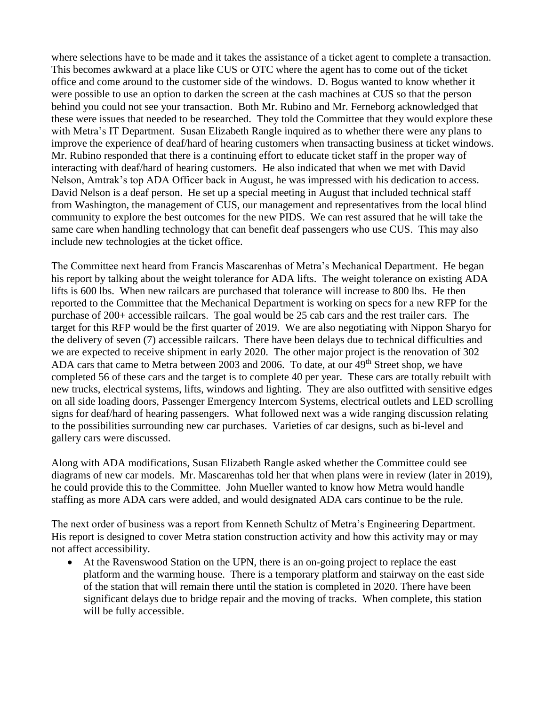where selections have to be made and it takes the assistance of a ticket agent to complete a transaction. This becomes awkward at a place like CUS or OTC where the agent has to come out of the ticket office and come around to the customer side of the windows. D. Bogus wanted to know whether it were possible to use an option to darken the screen at the cash machines at CUS so that the person behind you could not see your transaction. Both Mr. Rubino and Mr. Ferneborg acknowledged that these were issues that needed to be researched. They told the Committee that they would explore these with Metra's IT Department. Susan Elizabeth Rangle inquired as to whether there were any plans to improve the experience of deaf/hard of hearing customers when transacting business at ticket windows. Mr. Rubino responded that there is a continuing effort to educate ticket staff in the proper way of interacting with deaf/hard of hearing customers. He also indicated that when we met with David Nelson, Amtrak's top ADA Officer back in August, he was impressed with his dedication to access. David Nelson is a deaf person. He set up a special meeting in August that included technical staff from Washington, the management of CUS, our management and representatives from the local blind community to explore the best outcomes for the new PIDS. We can rest assured that he will take the same care when handling technology that can benefit deaf passengers who use CUS. This may also include new technologies at the ticket office.

The Committee next heard from Francis Mascarenhas of Metra's Mechanical Department. He began his report by talking about the weight tolerance for ADA lifts. The weight tolerance on existing ADA lifts is 600 lbs. When new railcars are purchased that tolerance will increase to 800 lbs. He then reported to the Committee that the Mechanical Department is working on specs for a new RFP for the purchase of 200+ accessible railcars. The goal would be 25 cab cars and the rest trailer cars. The target for this RFP would be the first quarter of 2019. We are also negotiating with Nippon Sharyo for the delivery of seven (7) accessible railcars. There have been delays due to technical difficulties and we are expected to receive shipment in early 2020. The other major project is the renovation of 302 ADA cars that came to Metra between 2003 and 2006. To date, at our 49<sup>th</sup> Street shop, we have completed 56 of these cars and the target is to complete 40 per year. These cars are totally rebuilt with new trucks, electrical systems, lifts, windows and lighting. They are also outfitted with sensitive edges on all side loading doors, Passenger Emergency Intercom Systems, electrical outlets and LED scrolling signs for deaf/hard of hearing passengers. What followed next was a wide ranging discussion relating to the possibilities surrounding new car purchases. Varieties of car designs, such as bi-level and gallery cars were discussed.

Along with ADA modifications, Susan Elizabeth Rangle asked whether the Committee could see diagrams of new car models. Mr. Mascarenhas told her that when plans were in review (later in 2019), he could provide this to the Committee. John Mueller wanted to know how Metra would handle staffing as more ADA cars were added, and would designated ADA cars continue to be the rule.

The next order of business was a report from Kenneth Schultz of Metra's Engineering Department. His report is designed to cover Metra station construction activity and how this activity may or may not affect accessibility.

 At the Ravenswood Station on the UPN, there is an on-going project to replace the east platform and the warming house. There is a temporary platform and stairway on the east side of the station that will remain there until the station is completed in 2020. There have been significant delays due to bridge repair and the moving of tracks. When complete, this station will be fully accessible.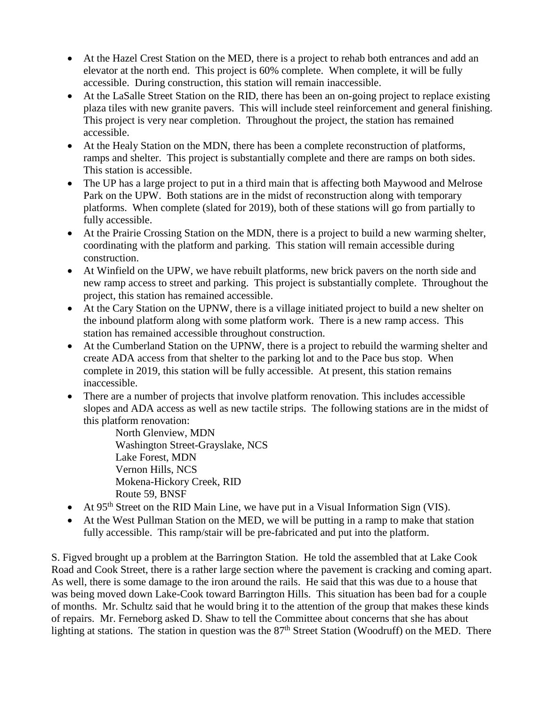- At the Hazel Crest Station on the MED, there is a project to rehab both entrances and add an elevator at the north end. This project is 60% complete. When complete, it will be fully accessible. During construction, this station will remain inaccessible.
- At the LaSalle Street Station on the RID, there has been an on-going project to replace existing plaza tiles with new granite pavers. This will include steel reinforcement and general finishing. This project is very near completion. Throughout the project, the station has remained accessible.
- At the Healy Station on the MDN, there has been a complete reconstruction of platforms, ramps and shelter. This project is substantially complete and there are ramps on both sides. This station is accessible.
- The UP has a large project to put in a third main that is affecting both Maywood and Melrose Park on the UPW. Both stations are in the midst of reconstruction along with temporary platforms. When complete (slated for 2019), both of these stations will go from partially to fully accessible.
- At the Prairie Crossing Station on the MDN, there is a project to build a new warming shelter, coordinating with the platform and parking. This station will remain accessible during construction.
- At Winfield on the UPW, we have rebuilt platforms, new brick pavers on the north side and new ramp access to street and parking. This project is substantially complete. Throughout the project, this station has remained accessible.
- At the Cary Station on the UPNW, there is a village initiated project to build a new shelter on the inbound platform along with some platform work. There is a new ramp access. This station has remained accessible throughout construction.
- At the Cumberland Station on the UPNW, there is a project to rebuild the warming shelter and create ADA access from that shelter to the parking lot and to the Pace bus stop. When complete in 2019, this station will be fully accessible. At present, this station remains inaccessible.
- There are a number of projects that involve platform renovation. This includes accessible slopes and ADA access as well as new tactile strips. The following stations are in the midst of this platform renovation:
	- North Glenview, MDN Washington Street-Grayslake, NCS Lake Forest, MDN Vernon Hills, NCS Mokena-Hickory Creek, RID Route 59, BNSF
- At 95<sup>th</sup> Street on the RID Main Line, we have put in a Visual Information Sign (VIS).
- At the West Pullman Station on the MED, we will be putting in a ramp to make that station fully accessible. This ramp/stair will be pre-fabricated and put into the platform.

S. Figved brought up a problem at the Barrington Station. He told the assembled that at Lake Cook Road and Cook Street, there is a rather large section where the pavement is cracking and coming apart. As well, there is some damage to the iron around the rails. He said that this was due to a house that was being moved down Lake-Cook toward Barrington Hills. This situation has been bad for a couple of months. Mr. Schultz said that he would bring it to the attention of the group that makes these kinds of repairs. Mr. Ferneborg asked D. Shaw to tell the Committee about concerns that she has about lighting at stations. The station in question was the 87<sup>th</sup> Street Station (Woodruff) on the MED. There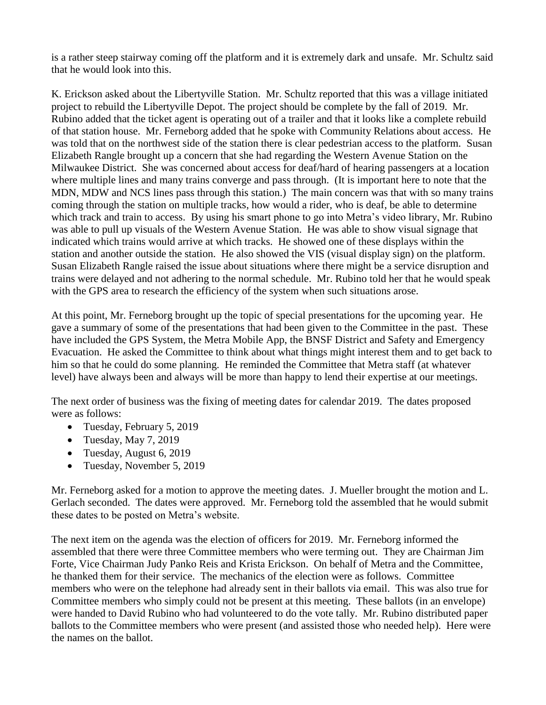is a rather steep stairway coming off the platform and it is extremely dark and unsafe. Mr. Schultz said that he would look into this.

K. Erickson asked about the Libertyville Station. Mr. Schultz reported that this was a village initiated project to rebuild the Libertyville Depot. The project should be complete by the fall of 2019. Mr. Rubino added that the ticket agent is operating out of a trailer and that it looks like a complete rebuild of that station house. Mr. Ferneborg added that he spoke with Community Relations about access. He was told that on the northwest side of the station there is clear pedestrian access to the platform. Susan Elizabeth Rangle brought up a concern that she had regarding the Western Avenue Station on the Milwaukee District. She was concerned about access for deaf/hard of hearing passengers at a location where multiple lines and many trains converge and pass through. (It is important here to note that the MDN, MDW and NCS lines pass through this station.) The main concern was that with so many trains coming through the station on multiple tracks, how would a rider, who is deaf, be able to determine which track and train to access. By using his smart phone to go into Metra's video library, Mr. Rubino was able to pull up visuals of the Western Avenue Station. He was able to show visual signage that indicated which trains would arrive at which tracks. He showed one of these displays within the station and another outside the station. He also showed the VIS (visual display sign) on the platform. Susan Elizabeth Rangle raised the issue about situations where there might be a service disruption and trains were delayed and not adhering to the normal schedule. Mr. Rubino told her that he would speak with the GPS area to research the efficiency of the system when such situations arose.

At this point, Mr. Ferneborg brought up the topic of special presentations for the upcoming year. He gave a summary of some of the presentations that had been given to the Committee in the past. These have included the GPS System, the Metra Mobile App, the BNSF District and Safety and Emergency Evacuation. He asked the Committee to think about what things might interest them and to get back to him so that he could do some planning. He reminded the Committee that Metra staff (at whatever level) have always been and always will be more than happy to lend their expertise at our meetings.

The next order of business was the fixing of meeting dates for calendar 2019. The dates proposed were as follows:

- Tuesday, February 5, 2019
- $\bullet$  Tuesday, May 7, 2019
- Tuesday, August 6, 2019
- Tuesday, November 5, 2019

Mr. Ferneborg asked for a motion to approve the meeting dates. J. Mueller brought the motion and L. Gerlach seconded. The dates were approved. Mr. Ferneborg told the assembled that he would submit these dates to be posted on Metra's website.

The next item on the agenda was the election of officers for 2019. Mr. Ferneborg informed the assembled that there were three Committee members who were terming out. They are Chairman Jim Forte, Vice Chairman Judy Panko Reis and Krista Erickson. On behalf of Metra and the Committee, he thanked them for their service. The mechanics of the election were as follows. Committee members who were on the telephone had already sent in their ballots via email. This was also true for Committee members who simply could not be present at this meeting. These ballots (in an envelope) were handed to David Rubino who had volunteered to do the vote tally. Mr. Rubino distributed paper ballots to the Committee members who were present (and assisted those who needed help). Here were the names on the ballot.